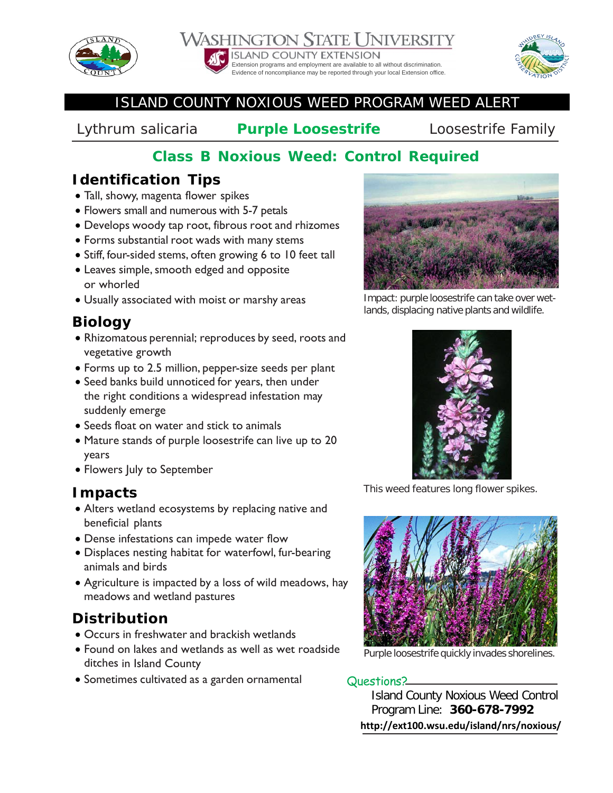





#### ISLAND COUNTY NOXIOUS WEED PROGRAM WEED ALERT

*Lythrum salicaria* **Purple Loosestrife** Loosestrife Family

# **Class B Noxious Weed: Control Required**

## **Identification Tips**

- Tall, showy, magenta flower spikes
- Flowers small and numerous with 5-7 petals
- Develops woody tap root, fibrous root and rhizomes
- Forms substantial root wads with many stems
- Stiff, four-sided stems, often growing 6 to 10 feet tall
- Leaves simple, smooth edged and opposite or whorled
- Usually associated with moist or marshy areas

# **Biology**

- Rhizomatous perennial; reproduces by seed, roots and vegetative growth
- Forms up to 2.5 million, pepper-size seeds per plant
- Seed banks build unnoticed for years, then under the right conditions a widespread infestation may suddenly emerge
- Seeds float on water and stick to animals
- Mature stands of purple loosestrife can live up to 20 years
- Flowers July to September

### **Impacts**

- Alters wetland ecosystems by replacing native and beneficial plants
- Dense infestations can impede water flow
- Displaces nesting habitat for waterfowl, fur-bearing animals and birds
- Agriculture is impacted by a loss of wild meadows, hay meadows and wetland pastures

# **Distribution**

- Occurs in freshwater and brackish wetlands
- Found on lakes and wetlands as well as wet roadside ditches in Island County
- Sometimes cultivated as a garden ornamental Questions?



Impact: purple loosestrife can take over wetlands, displacing native plants and wildlife.



This weed features long flower spikes.



Purple loosestrife quickly invades shorelines.

Island County Noxious Weed Control Program Line: **360-678-7992 http://ext100.wsu.edu/island/nrs/noxious/**